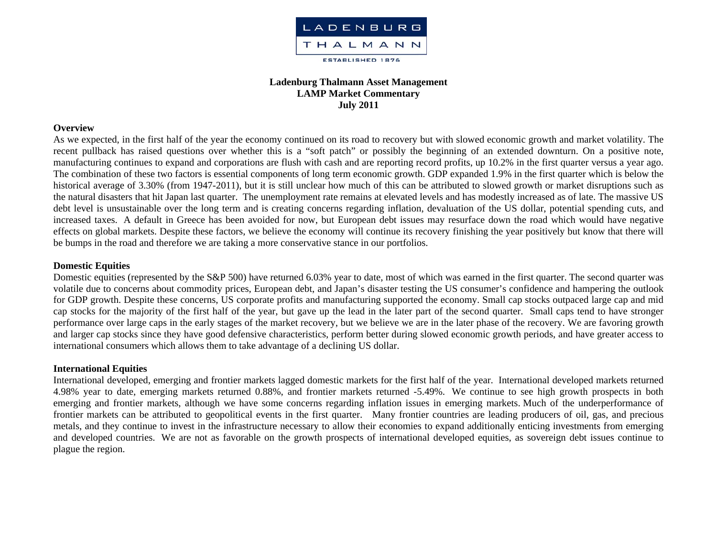

# **Ladenburg Thalmann Asset Management LAMP Market Commentary July 2011**

#### **Overview**

As we expected, in the first half of the year the economy continued on its road to recovery but with slowed economic growth and market volatility. The recent pullback has raised questions over whether this is a "soft patch" or possibly the beginning of an extended downturn. On a positive note, manufacturing continues to expand and corporations are flush with cash and are reporting record profits, up 10.2% in the first quarter versus a year ago. The combination of these two factors is essential components of long term economic growth. GDP expanded 1.9% in the first quarter which is below the historical average of 3.30% (from 1947-2011), but it is still unclear how much of this can be attributed to slowed growth or market disruptions such as the natural disasters that hit Japan last quarter. The unemployment rate remains at elevated levels and has modestly increased as of late. The massive US debt level is unsustainable over the long term and is creating concerns regarding inflation, devaluation of the US dollar, potential spending cuts, and increased taxes. A default in Greece has been avoided for now, but European debt issues may resurface down the road which would have negative effects on global markets. Despite these factors, we believe the economy will continue its recovery finishing the year positively but know that there will be bumps in the road and therefore we are taking a more conservative stance in our portfolios.

## **Domestic Equities**

Domestic equities (represented by the S&P 500) have returned 6.03% year to date, most of which was earned in the first quarter. The second quarter was volatile due to concerns about commodity prices, European debt, and Japan's disaster testing the US consumer's confidence and hampering the outlook for GDP growth. Despite these concerns, US corporate profits and manufacturing supported the economy. Small cap stocks outpaced large cap and mid cap stocks for the majority of the first half of the year, but gave up the lead in the later part of the second quarter. Small caps tend to have stronger performance over large caps in the early stages of the market recovery, but we believe we are in the later phase of the recovery. We are favoring growth and larger cap stocks since they have good defensive characteristics, perform better during slowed economic growth periods, and have greater access to international consumers which allows them to take advantage of a declining US dollar.

#### **International Equities**

International developed, emerging and frontier markets lagged domestic markets for the first half of the year. International developed markets returned 4.98% year to date, emerging markets returned 0.88%, and frontier markets returned -5.49%. We continue to see high growth prospects in both emerging and frontier markets, although we have some concerns regarding inflation issues in emerging markets. Much of the underperformance of frontier markets can be attributed to geopolitical events in the first quarter. Many frontier countries are leading producers of oil, gas, and precious metals, and they continue to invest in the infrastructure necessary to allow their economies to expand additionally enticing investments from emerging and developed countries. We are not as favorable on the growth prospects of international developed equities, as sovereign debt issues continue to plague the region.